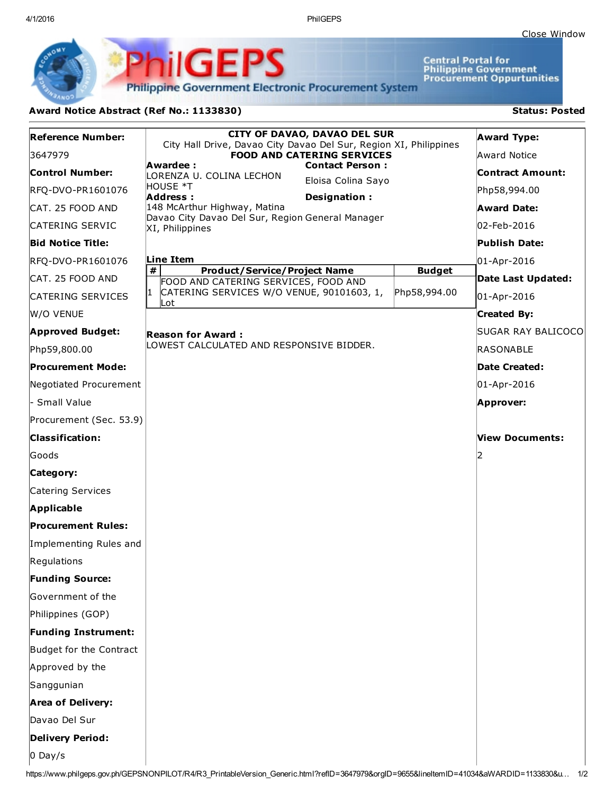4/1/2016 PhilGEPS

Central Portal for<br>Philippine Government<br>Procurement Oppurtunities

**Philippine Government Electronic Procurement System** 

PhilGEPS

## Award Notice Abstract (Ref No.: 1133830) Status: Posted

| <b>Reference Number:</b>   | <b>CITY OF DAVAO, DAVAO DEL SUR</b><br>City Hall Drive, Davao City Davao Del Sur, Region XI, Philippines |               | <b>Award Type:</b> |
|----------------------------|----------------------------------------------------------------------------------------------------------|---------------|--------------------|
| 3647979                    | <b>FOOD AND CATERING SERVICES</b>                                                                        |               | Award Notice       |
| <b>Control Number:</b>     | Awardee:<br><b>Contact Person:</b><br>LORENZA U. COLINA LECHON                                           |               | Contract Amount:   |
| RFQ-DVO-PR1601076          | Eloisa Colina Sayo<br>HOUSE *T<br>Address:<br>Designation:                                               |               | Php58,994.00       |
| CAT. 25 FOOD AND           | 148 McArthur Highway, Matina                                                                             |               | <b>Award Date:</b> |
| CATERING SERVIC            | Davao City Davao Del Sur, Region General Manager<br>XI, Philippines                                      |               | 02-Feb-2016        |
| <b>Bid Notice Title:</b>   |                                                                                                          |               | Publish Date:      |
| RFQ-DVO-PR1601076          | Line Item                                                                                                |               | 01-Apr-2016        |
| CAT. 25 FOOD AND           | #<br><b>Product/Service/Project Name</b><br>FOOD AND CATERING SERVICES, FOOD AND                         | <b>Budget</b> | Date Last Updated: |
| CATERING SERVICES          | CATERING SERVICES W/O VENUE, 90101603, 1,<br>I1<br>∣Lot                                                  | Php58,994.00  | 01-Apr-2016        |
| W/O VENUE                  |                                                                                                          |               | <b>Created By:</b> |
| <b>Approved Budget:</b>    | <b>Reason for Award:</b>                                                                                 |               | SUGAR RAY BALICOCO |
| Php59,800.00               | LOWEST CALCULATED AND RESPONSIVE BIDDER.                                                                 |               | RASONABLE          |
| <b>Procurement Mode:</b>   |                                                                                                          |               | Date Created:      |
| Negotiated Procurement     |                                                                                                          |               | 01-Apr-2016        |
| - Small Value              |                                                                                                          |               | <b>Approver:</b>   |
| Procurement (Sec. 53.9)    |                                                                                                          |               |                    |
| <b>Classification:</b>     |                                                                                                          |               | View Documents:    |
| Goods                      |                                                                                                          |               | I2                 |
| Category:                  |                                                                                                          |               |                    |
| Catering Services          |                                                                                                          |               |                    |
| <b>Applicable</b>          |                                                                                                          |               |                    |
| <b>Procurement Rules:</b>  |                                                                                                          |               |                    |
| Implementing Rules and     |                                                                                                          |               |                    |
| Regulations                |                                                                                                          |               |                    |
| <b>Funding Source:</b>     |                                                                                                          |               |                    |
| Government of the          |                                                                                                          |               |                    |
| Philippines (GOP)          |                                                                                                          |               |                    |
| <b>Funding Instrument:</b> |                                                                                                          |               |                    |
| Budget for the Contract    |                                                                                                          |               |                    |
| Approved by the            |                                                                                                          |               |                    |
| Sanggunian                 |                                                                                                          |               |                    |
| <b>Area of Delivery:</b>   |                                                                                                          |               |                    |
| Davao Del Sur              |                                                                                                          |               |                    |
| Delivery Period:           |                                                                                                          |               |                    |
| $0$ Day/s                  |                                                                                                          |               |                    |